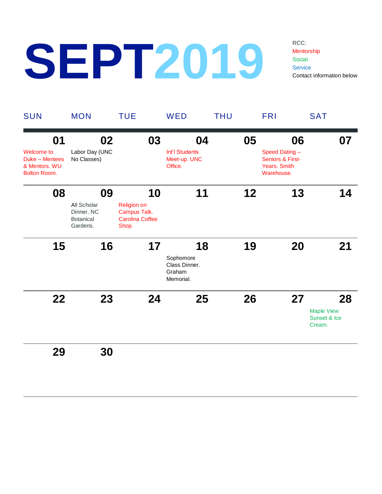## **SEPT2019**

RCC: Mentorship **Social Service** Contact information below

| <b>SUN</b>                                                           | <b>MON</b>                                                | <b>TUE</b>                                                            | WED                                               | <b>THU</b> | <b>FRI</b>                                                             | <b>SAT</b>                                  |
|----------------------------------------------------------------------|-----------------------------------------------------------|-----------------------------------------------------------------------|---------------------------------------------------|------------|------------------------------------------------------------------------|---------------------------------------------|
| 01                                                                   | 02                                                        | 03                                                                    | 04                                                | 05         | 06                                                                     | 07                                          |
| Welcome to<br>Duke - Mentees<br>& Mentors. WU<br><b>Bolton Room.</b> | Labor Day (UNC<br>No Classes)                             |                                                                       | Int'l Students<br>Meet-up. UNC<br>Office.         |            | Speed Dating-<br>Seniors & First-<br><b>Years. Smith</b><br>Warehouse. |                                             |
| 08                                                                   | 09                                                        | 10                                                                    | 11                                                | 12         | 13                                                                     | 14                                          |
|                                                                      | All Scholar<br>Dinner. NC<br><b>Botanical</b><br>Gardens. | <b>Religion on</b><br>Campus Talk.<br><b>Carolina Coffee</b><br>Shop. |                                                   |            |                                                                        |                                             |
| 15                                                                   | 16                                                        | 17                                                                    | 18                                                | 19         | 20                                                                     | 21                                          |
|                                                                      |                                                           |                                                                       | Sophomore<br>Class Dinner.<br>Graham<br>Memorial. |            |                                                                        |                                             |
| 22                                                                   | 23                                                        | 24                                                                    | 25                                                | 26         | 27                                                                     | 28                                          |
|                                                                      |                                                           |                                                                       |                                                   |            |                                                                        | <b>Maple View</b><br>Sunset & Ice<br>Cream. |
| 29                                                                   | 30                                                        |                                                                       |                                                   |            |                                                                        |                                             |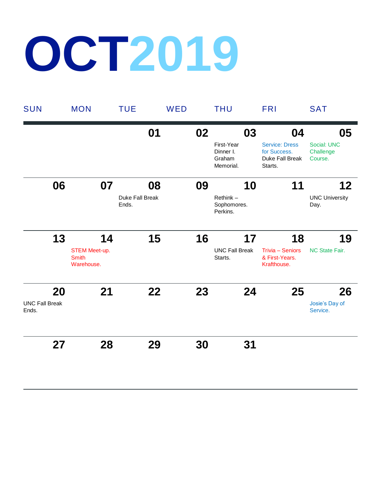## **OCT2019**

| <b>SUN</b>                     | <b>MON</b>                                  | <b>TUE</b>               | WED |    | <b>THU</b>                                     | <b>FRI</b>                                                          | <b>SAT</b>                          |
|--------------------------------|---------------------------------------------|--------------------------|-----|----|------------------------------------------------|---------------------------------------------------------------------|-------------------------------------|
|                                |                                             | 01                       |     | 02 | 03                                             | 04                                                                  | 05                                  |
|                                |                                             |                          |     |    | First-Year<br>Dinner I.<br>Graham<br>Memorial. | <b>Service: Dress</b><br>for Success.<br>Duke Fall Break<br>Starts. | Social: UNC<br>Challenge<br>Course. |
| 06                             | 07                                          | 08                       |     | 09 | 10                                             | 11                                                                  | 12                                  |
|                                |                                             | Duke Fall Break<br>Ends. |     |    | $Rethink -$<br>Sophomores.<br>Perkins.         |                                                                     | <b>UNC University</b><br>Day.       |
| 13                             | 14                                          | 15                       |     | 16 | 17                                             | 18                                                                  | 19                                  |
|                                | STEM Meet-up.<br><b>Smith</b><br>Warehouse. |                          |     |    | <b>UNC Fall Break</b><br>Starts.               | Trivia - Seniors<br>& First-Years.<br>Krafthouse.                   | NC State Fair.                      |
| 20                             | 21                                          | 22                       |     | 23 | 24                                             | 25                                                                  | 26                                  |
| <b>UNC Fall Break</b><br>Ends. |                                             |                          |     |    |                                                |                                                                     | Josie's Day of<br>Service.          |
| 27                             | 28                                          | 29                       |     | 30 | 31                                             |                                                                     |                                     |
|                                |                                             |                          |     |    |                                                |                                                                     |                                     |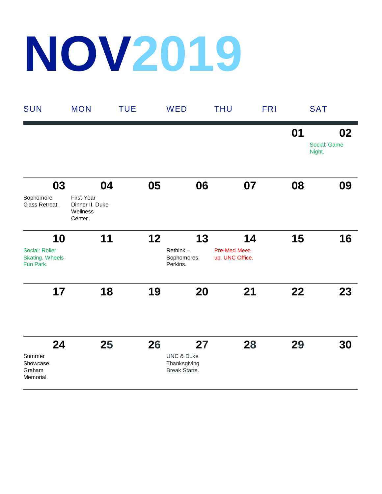## **NOV2019**

| <b>SUN</b>                                                  | <b>MON</b>                                                 | <b>TUE</b> | WED                                                          |    | <b>THU</b>                                    | <b>FRI</b> | <b>SAT</b>                   |
|-------------------------------------------------------------|------------------------------------------------------------|------------|--------------------------------------------------------------|----|-----------------------------------------------|------------|------------------------------|
|                                                             |                                                            |            |                                                              |    |                                               | 01         | 02<br>Social: Game<br>Night. |
| 03<br>Sophomore<br>Class Retreat.                           | 04<br>First-Year<br>Dinner II. Duke<br>Wellness<br>Center. |            | 05                                                           | 06 | 07                                            | 08         | 09                           |
| 10<br>Social: Roller<br><b>Skating. Wheels</b><br>Fun Park. | 11                                                         |            | 12<br>Rethink-<br>Sophomores.<br>Perkins.                    | 13 | 14<br><b>Pre-Med Meet-</b><br>up. UNC Office. | 15         | 16                           |
| 17                                                          | 18                                                         |            | 19                                                           | 20 | 21                                            | 22         | 23                           |
| 24<br>Summer<br>Showcase.<br>Graham<br>Memorial.            | 25                                                         |            | 26<br><b>UNC &amp; Duke</b><br>Thanksgiving<br>Break Starts. | 27 | 28                                            | 29         | 30                           |